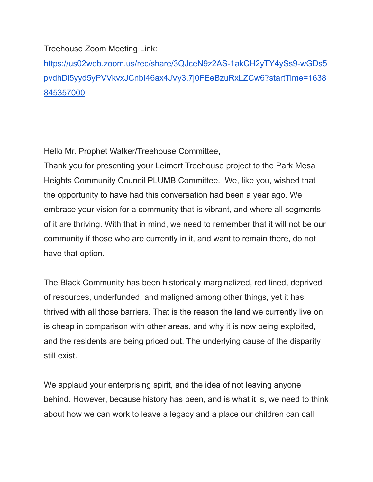Treehouse Zoom Meeting Link:

[https://us02web.zoom.us/rec/share/3QJceN9z2AS-1akCH2yTY4ySs9-wGDs5](https://us02web.zoom.us/rec/share/3QJceN9z2AS-1akCH2yTY4ySs9-wGDs5pvdhDi5yyd5yPVVkvxJCnbI46ax4JVy3.7j0FEeBzuRxLZCw6?startTime=1638845357000) [pvdhDi5yyd5yPVVkvxJCnbI46ax4JVy3.7j0FEeBzuRxLZCw6?startTime=1638](https://us02web.zoom.us/rec/share/3QJceN9z2AS-1akCH2yTY4ySs9-wGDs5pvdhDi5yyd5yPVVkvxJCnbI46ax4JVy3.7j0FEeBzuRxLZCw6?startTime=1638845357000) [845357000](https://us02web.zoom.us/rec/share/3QJceN9z2AS-1akCH2yTY4ySs9-wGDs5pvdhDi5yyd5yPVVkvxJCnbI46ax4JVy3.7j0FEeBzuRxLZCw6?startTime=1638845357000)

Hello Mr. Prophet Walker/Treehouse Committee,

Thank you for presenting your Leimert Treehouse project to the Park Mesa Heights Community Council PLUMB Committee. We, like you, wished that the opportunity to have had this conversation had been a year ago. We embrace your vision for a community that is vibrant, and where all segments of it are thriving. With that in mind, we need to remember that it will not be our community if those who are currently in it, and want to remain there, do not have that option.

The Black Community has been historically marginalized, red lined, deprived of resources, underfunded, and maligned among other things, yet it has thrived with all those barriers. That is the reason the land we currently live on is cheap in comparison with other areas, and why it is now being exploited, and the residents are being priced out. The underlying cause of the disparity still exist.

We applaud your enterprising spirit, and the idea of not leaving anyone behind. However, because history has been, and is what it is, we need to think about how we can work to leave a legacy and a place our children can call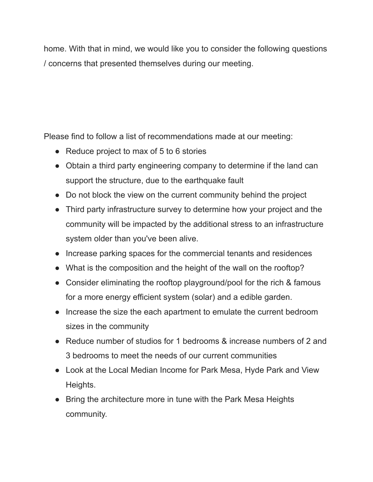home. With that in mind, we would like you to consider the following questions / concerns that presented themselves during our meeting.

Please find to follow a list of recommendations made at our meeting:

- Reduce project to max of 5 to 6 stories
- Obtain a third party engineering company to determine if the land can support the structure, due to the earthquake fault
- Do not block the view on the current community behind the project
- Third party infrastructure survey to determine how your project and the community will be impacted by the additional stress to an infrastructure system older than you've been alive.
- Increase parking spaces for the commercial tenants and residences
- What is the composition and the height of the wall on the rooftop?
- Consider eliminating the rooftop playground/pool for the rich & famous for a more energy efficient system (solar) and a edible garden.
- Increase the size the each apartment to emulate the current bedroom sizes in the community
- Reduce number of studios for 1 bedrooms & increase numbers of 2 and 3 bedrooms to meet the needs of our current communities
- Look at the Local Median Income for Park Mesa, Hyde Park and View Heights.
- Bring the architecture more in tune with the Park Mesa Heights community.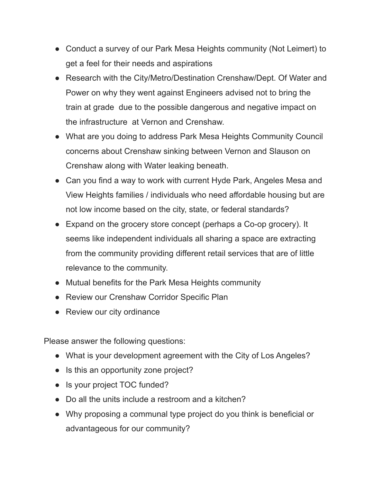- Conduct a survey of our Park Mesa Heights community (Not Leimert) to get a feel for their needs and aspirations
- Research with the City/Metro/Destination Crenshaw/Dept. Of Water and Power on why they went against Engineers advised not to bring the train at grade due to the possible dangerous and negative impact on the infrastructure at Vernon and Crenshaw.
- What are you doing to address Park Mesa Heights Community Council concerns about Crenshaw sinking between Vernon and Slauson on Crenshaw along with Water leaking beneath.
- Can you find a way to work with current Hyde Park, Angeles Mesa and View Heights families / individuals who need affordable housing but are not low income based on the city, state, or federal standards?
- Expand on the grocery store concept (perhaps a Co-op grocery). It seems like independent individuals all sharing a space are extracting from the community providing different retail services that are of little relevance to the community.
- Mutual benefits for the Park Mesa Heights community
- Review our Crenshaw Corridor Specific Plan
- Review our city ordinance

Please answer the following questions:

- What is your development agreement with the City of Los Angeles?
- Is this an opportunity zone project?
- Is your project TOC funded?
- Do all the units include a restroom and a kitchen?
- Why proposing a communal type project do you think is beneficial or advantageous for our community?